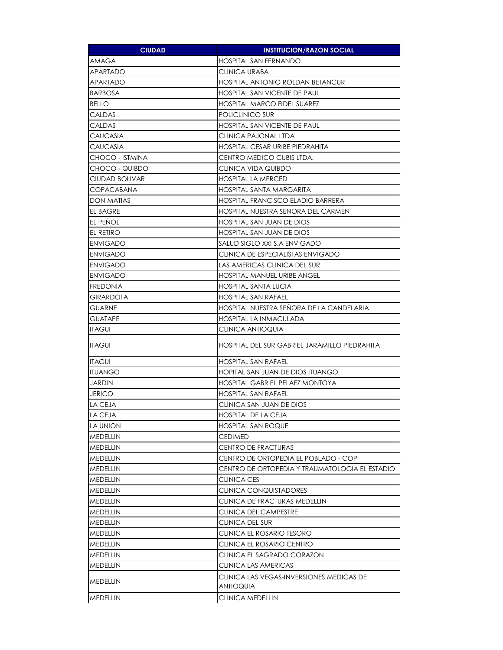| <b>CIUDAD</b>     | <b>INSTITUCION/RAZON SOCIAL</b>                       |
|-------------------|-------------------------------------------------------|
| AMAGA             | <b>HOSPITAL SAN FERNANDO</b>                          |
| APARTADO          | <b>CLINICA URABA</b>                                  |
| APARTADO          | <b>HOSPITAL ANTONIO ROLDAN BETANCUR</b>               |
| <b>BARBOSA</b>    | <b>HOSPITAL SAN VICENTE DE PAUL</b>                   |
| <b>BELLO</b>      | <b>HOSPITAL MARCO FIDEL SUAREZ</b>                    |
| <b>CALDAS</b>     | POLICLINICO SUR                                       |
| CALDAS            | <b>HOSPITAL SAN VICENTE DE PAUL</b>                   |
| <b>CAUCASIA</b>   | <b>CLINICA PAJONAL LTDA</b>                           |
| <b>CAUCASIA</b>   | HOSPITAL CESAR URIBE PIEDRAHITA                       |
| CHOCO - ISTMINA   | CENTRO MEDICO CUBIS LTDA.                             |
| CHOCO - QUIBDO    | CLINICA VIDA QUIBDO                                   |
| CIUDAD BOLIVAR    | <b>HOSPITAL LA MERCED</b>                             |
| <b>COPACABANA</b> | HOSPITAL SANTA MARGARITA                              |
| DON MATIAS        | <b>HOSPITAL FRANCISCO ELADIO BARRERA</b>              |
| <b>EL BAGRE</b>   | HOSPITAL NUESTRA SENORA DEL CARMEN                    |
| EL PENOL          | HOSPITAL SAN JUAN DE DIOS                             |
| EL RETIRO         | HOSPITAL SAN JUAN DE DIOS                             |
| <b>ENVIGADO</b>   | SALUD SIGLO XXI S.A ENVIGADO                          |
| <b>ENVIGADO</b>   | CLINICA DE ESPECIALISTAS ENVIGADO                     |
| <b>ENVIGADO</b>   | LAS AMERICAS CLINICA DEL SUR                          |
| <b>ENVIGADO</b>   | <b>HOSPITAL MANUEL URIBE ANGEL</b>                    |
| <b>FREDONIA</b>   | HOSPITAL SANTA LUCIA                                  |
| <b>GIRARDOTA</b>  | <b>HOSPITAL SAN RAFAEL</b>                            |
| <b>GUARNE</b>     | HOSPITAL NUESTRA SENORA DE LA CANDELARIA              |
| <b>GUATAPE</b>    | <b>HOSPITAL LA INMACULADA</b>                         |
| <b>ITAGUI</b>     | <b>CLINICA ANTIOQUIA</b>                              |
| <b>ITAGUI</b>     | HOSPITAL DEL SUR GABRIEL JARAMILLO PIEDRAHITA         |
| <b>ITAGUI</b>     | <b>HOSPITAL SAN RAFAEL</b>                            |
| <b>ITUANGO</b>    | HOPITAL SAN JUAN DE DIOS ITUANGO                      |
| JARDIN            | <b>HOSPITAL GABRIEL PELAEZ MONTOYA</b>                |
| <b>JERICO</b>     | HOSPITAL SAN RAFAEL                                   |
| LA CEJA           | CLINICA SAN JUAN DE DIOS                              |
| LA CEJA           | <b>HOSPITAL DE LA CEJA</b>                            |
| LA UNION          | <b>HOSPITAL SAN ROQUE</b>                             |
| <b>MEDELLIN</b>   | <b>CEDIMED</b>                                        |
| <b>MEDELLIN</b>   | CENTRO DE FRACTURAS                                   |
| MEDELLIN          | CENTRO DE ORTOPEDIA EL POBLADO - COP                  |
| MEDELLIN          | CENTRO DE ORTOPEDIA Y TRAUMATOLOGIA EL ESTADIO        |
| MEDELLIN          | CLINICA CES                                           |
| <b>MEDELLIN</b>   | <b>CLINICA CONQUISTADORES</b>                         |
| MEDELLIN          | CLINICA DE FRACTURAS MEDELLIN                         |
| MEDELLIN          | CLINICA DEL CAMPESTRE                                 |
| MEDELLIN          | <b>CLINICA DEL SUR</b>                                |
| <b>MEDELLIN</b>   | CLINICA EL ROSARIO TESORO                             |
| MEDELLIN          | CLINICA EL ROSARIO CENTRO                             |
| MEDELLIN          | CLINICA EL SAGRADO CORAZON                            |
| MEDELLIN          | CLINICA LAS AMERICAS                                  |
| MEDELLIN          | CLINICA LAS VEGAS-INVERSIONES MEDICAS DE<br>ANTIOQUIA |
| <b>MEDELLIN</b>   | CLINICA MEDELLIN                                      |
|                   |                                                       |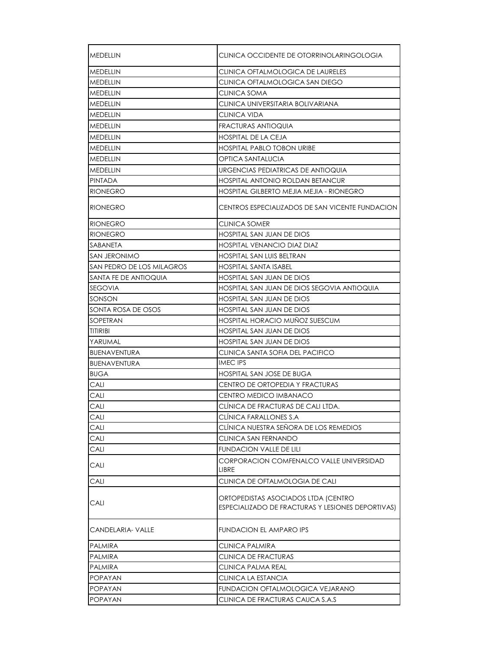| MEDELLIN                  | CLINICA OCCIDENTE DE OTORRINOLARINGOLOGIA                                                |
|---------------------------|------------------------------------------------------------------------------------------|
| <b>MEDELLIN</b>           | CLINICA OFTALMOLOGICA DE LAURELES                                                        |
| MEDELLIN                  | CLINICA OFTALMOLOGICA SAN DIEGO                                                          |
| MEDELLIN                  | CLINICA SOMA                                                                             |
| MEDELLIN                  | CLINICA UNIVERSITARIA BOLIVARIANA                                                        |
| MEDELLIN                  | CLINICA VIDA                                                                             |
| <b>MEDELLIN</b>           | <b>FRACTURAS ANTIOQUIA</b>                                                               |
| <b>MEDELLIN</b>           | <b>HOSPITAL DE LA CEJA</b>                                                               |
| <b>MEDELLIN</b>           | <b>HOSPITAL PABLO TOBON URIBE</b>                                                        |
| MEDELLIN                  | OPTICA SANTALUCIA                                                                        |
| <b>MEDELLIN</b>           | URGENCIAS PEDIATRICAS DE ANTIOQUIA                                                       |
| <b>PINTADA</b>            | <b>HOSPITAL ANTONIO ROLDAN BETANCUR</b>                                                  |
| <b>RIONEGRO</b>           | HOSPITAL GILBERTO MEJIA MEJIA - RIONEGRO                                                 |
| <b>RIONEGRO</b>           | CENTROS ESPECIALIZADOS DE SAN VICENTE FUNDACION                                          |
| <b>RIONEGRO</b>           | CLINICA SOMER                                                                            |
| <b>RIONEGRO</b>           | HOSPITAL SAN JUAN DE DIOS                                                                |
| SABANETA                  | <b>HOSPITAL VENANCIO DIAZ DIAZ</b>                                                       |
| SAN JERONIMO              | HOSPITAL SAN LUIS BELTRAN                                                                |
| SAN PEDRO DE LOS MILAGROS | <b>HOSPITAL SANTA ISABEL</b>                                                             |
| SANTA FE DE ANTIOQUIA     | HOSPITAL SAN JUAN DE DIOS                                                                |
| SEGOVIA                   | HOSPITAL SAN JUAN DE DIOS SEGOVIA ANTIOQUIA                                              |
| SONSON                    | HOSPITAL SAN JUAN DE DIOS                                                                |
| SONTA ROSA DE OSOS        | HOSPITAL SAN JUAN DE DIOS                                                                |
| SOPETRAN                  | <b>HOSPITAL HORACIO MUÑOZ SUESCUM</b>                                                    |
| <b>TITIRIBI</b>           | HOSPITAL SAN JUAN DE DIOS                                                                |
| YARUMAL                   | HOSPITAL SAN JUAN DE DIOS                                                                |
| <b>BUENAVENTURA</b>       | CLINICA SANTA SOFIA DEL PACIFICO                                                         |
| <b>BUENAVENTURA</b>       | <b>IMEC IPS</b>                                                                          |
| <b>BUGA</b>               | HOSPITAL SAN JOSE DE BUGA                                                                |
| CALI                      | CENTRO DE ORTOPEDIA Y FRACTURAS                                                          |
| CALI                      | CENTRO MEDICO IMBANACO                                                                   |
| CALI                      | CLÍNICA DE FRACTURAS DE CALI LTDA.                                                       |
| CALI                      | CLÍNICA FARALLONES S.A                                                                   |
| CALI                      | CLÍNICA NUESTRA SEÑORA DE LOS REMEDIOS                                                   |
| CALI                      | CLINICA SAN FERNANDO                                                                     |
| CALI                      | <b>FUNDACION VALLE DE LILI</b>                                                           |
| CALI                      | CORPORACION COMFENALCO VALLE UNIVERSIDAD<br>LIBRE                                        |
| CALI                      | CLINICA DE OFTALMOLOGIA DE CALI                                                          |
| CALI                      | ORTOPEDISTAS ASOCIADOS LTDA (CENTRO<br>ESPECIALIZADO DE FRACTURAS Y LESIONES DEPORTIVAS) |
| CANDELARIA- VALLE         | <b>FUNDACION EL AMPARO IPS</b>                                                           |
| <b>PALMIRA</b>            | <b>CLINICA PALMIRA</b>                                                                   |
| <b>PALMIRA</b>            | CLINICA DE FRACTURAS                                                                     |
| PALMIRA                   | CLINICA PALMA REAL                                                                       |
| POPAYAN                   | CLINICA LA ESTANCIA                                                                      |
| <b>POPAYAN</b>            | FUNDACION OFTALMOLOGICA VEJARANO                                                         |
| <b>POPAYAN</b>            | CLINICA DE FRACTURAS CAUCA S.A.S                                                         |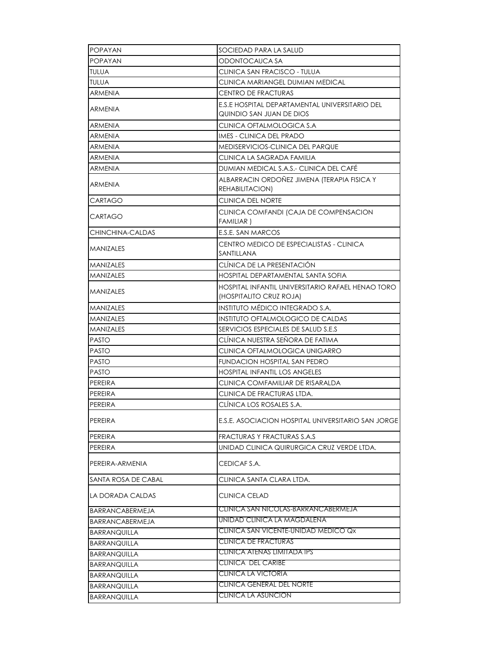| <b>POPAYAN</b>         | SOCIEDAD PARA LA SALUD                                                       |
|------------------------|------------------------------------------------------------------------------|
| <b>POPAYAN</b>         | ODONTOCAUCA SA                                                               |
| <b>TULUA</b>           | CLINICA SAN FRACISCO - TULUA                                                 |
| <b>TULUA</b>           | CLINICA MARIANGEL DUMIAN MEDICAL                                             |
| ARMENIA                | <b>CENTRO DE FRACTURAS</b>                                                   |
| <b>ARMENIA</b>         | E.S.E HOSPITAL DEPARTAMENTAL UNIVERSITARIO DEL<br>QUINDIO SAN JUAN DE DIOS   |
| ARMENIA                | CLINICA OFTALMOLOGICA S.A                                                    |
| <b>ARMENIA</b>         | <b>IMES - CLINICA DEL PRADO</b>                                              |
| <b>ARMENIA</b>         | <b>MEDISERVICIOS-CLINICA DEL PARQUE</b>                                      |
| ARMENIA                | CLINICA LA SAGRADA FAMILIA                                                   |
| ARMENIA                | DUMIAN MEDICAL S.A.S.- CLINICA DEL CAFE                                      |
| ARMENIA                | ALBARRACIN ORDOÑEZ JIMENA (TERAPIA FISICA Y<br>REHABILITACION)               |
| CARTAGO                | CLINICA DEL NORTE                                                            |
| CARTAGO                | CLINICA COMFANDI (CAJA DE COMPENSACION<br><b>FAMILIAR</b> )                  |
| CHINCHINA-CALDAS       | E.S.E. SAN MARCOS                                                            |
| <b>MANIZALES</b>       | CENTRO MEDICO DE ESPECIALISTAS - CLINICA<br>SANTILLANA                       |
| <b>MANIZALES</b>       | CLÍNICA DE LA PRESENTACIÓN                                                   |
| <b>MANIZALES</b>       | HOSPITAL DEPARTAMENTAL SANTA SOFIA                                           |
| <b>MANIZALES</b>       | HOSPITAL INFANTIL UNIVERSITARIO RAFAEL HENAO TORO<br>(HOSPITALITO CRUZ ROJA) |
| <b>MANIZALES</b>       | INSTITUTO MÉDICO INTEGRADO S.A.                                              |
| <b>MANIZALES</b>       | INSTITUTO OFTALMOLOGICO DE CALDAS                                            |
| <b>MANIZALES</b>       | SERVICIOS ESPECIALES DE SALUD S.E.S                                          |
| <b>PASTO</b>           | CLÍNICA NUESTRA SEÑORA DE FATIMA                                             |
| <b>PASTO</b>           | CLINICA OFTALMOLOGICA UNIGARRO                                               |
| <b>PASTO</b>           | FUNDACION HOSPITAL SAN PEDRO                                                 |
| <b>PASTO</b>           | <b>HOSPITAL INFANTIL LOS ANGELES</b>                                         |
| PEREIRA                | CLINICA COMFAMILIAR DE RISARALDA                                             |
| PEREIRA                | CLINICA DE FRACTURAS LTDA.                                                   |
| PEREIRA                | CLÍNICA LOS ROSALES S.A.                                                     |
| PEREIRA                | E.S.E. ASOCIACION HOSPITAL UNIVERSITARIO SAN JORGE                           |
| PEREIRA                | <b>FRACTURAS Y FRACTURAS S.A.S</b>                                           |
| PEREIRA                | UNIDAD CLINICA QUIRURGICA CRUZ VERDE LTDA.                                   |
| PEREIRA-ARMENIA        | CEDICAF S.A.                                                                 |
| SANTA ROSA DE CABAL    | CLINICA SANTA CLARA LTDA.                                                    |
| LA DORADA CALDAS       | CLINICA CELAD                                                                |
| <b>BARRANCABERMEJA</b> | CLINICA SAN NICOLAS-BARRANCABERMEJA                                          |
| BARRANCABERMEJA        | UNIDAD CLINICA LA MAGDALENA                                                  |
| <b>BARRANQUILLA</b>    | CLINICA SAN VICENTE-UNIDAD MEDICO Qx                                         |
| BARRANQUILLA           | <b>CLINICA DE FRACTURAS</b>                                                  |
| <b>BARRANQUILLA</b>    | <b>CLINICA ATENAS LIMITADA IPS</b>                                           |
| BARRANQUILLA           | <b>CLINICA DEL CARIBE</b>                                                    |
| <b>BARRANQUILLA</b>    | <b>CLINICA LA VICTORIA</b>                                                   |
| <b>BARRANQUILLA</b>    | <b>CLINICA GENERAL DEL NORTE</b>                                             |
| BARRANQUILLA           | <b>CLINICA LA ASUNCION</b>                                                   |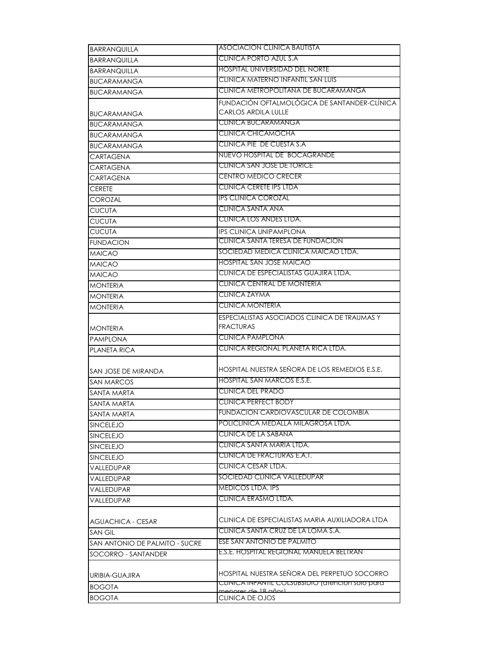| <b>BARRANQUILLA</b>            | ASOCIACION CLINICA BAUTISTA                      |
|--------------------------------|--------------------------------------------------|
| <b>BARRANQUILLA</b>            | CLINICA PORTO AZUL S.A                           |
| <b>BARRANQUILLA</b>            | <b>HOSPITAL UNIVERSIDAD DEL NORTE</b>            |
| <b>BUCARAMANGA</b>             | CLINICA MATERNO INFANTIL SAN LUIS                |
| <b>BUCARAMANGA</b>             | CLINICA METROPOLITANA DE BUCARAMANGA             |
|                                | FUNDACIÓN OFTALMOLÓGICA DE SANTANDER-CLÍNICA     |
| BUCARAMANGA                    | CARLOS ARDILA LULLE                              |
| <b>BUCARAMANGA</b>             | CLINICA BUCARAMANGA                              |
| <b>BUCARAMANGA</b>             | CLINICA CHICAMOCHA                               |
| <b>BUCARAMANGA</b>             | CLINICA PIE DE CUESTA S.A.                       |
| <b>CARTAGENA</b>               | NUEVO HOSPITAL DE BOCAGRANDE                     |
| <b>CARTAGENA</b>               | CLINICA SAN JOSE DE TORICE                       |
| CARTAGENA                      | CENTRO MEDICO CRECER                             |
| CERETE                         | CLINICA CERETE IPS LTDA                          |
| COROZAL                        | IPS CLINICA COROZAL                              |
| <b>CUCUTA</b>                  | CLINICA SANTA ANA                                |
| <b>CUCUTA</b>                  | CLINICA LOS ANDES LTDA.                          |
| <b>CUCUTA</b>                  | <b>IPS CLINICA UNIPAMPLONA</b>                   |
| <b>FUNDACION</b>               | CLINICA SANTA TERESA DE FUNDACION                |
| <b>MAICAO</b>                  | SOCIEDAD MEDICA CLINICA MAICAO LTDA.             |
| <b>MAICAO</b>                  | HOSPITAL SAN JOSE MAICAO                         |
| <b>MAICAO</b>                  | CLINICA DE ESPECIALISTAS GUAJIRA LTDA.           |
| <b>MONTERIA</b>                | CLINICA CENTRAL DE MONTERIA                      |
| <b>MONTERIA</b>                | CLINICA ZAYMA                                    |
| <b>MONTERIA</b>                | <b>CLINICA MONTERIA</b>                          |
|                                | ESPECIALISTAS ASOCIADOS CLINICA DE TRAUMAS Y     |
| <b>MONTERIA</b>                | <b>FRACTURAS</b>                                 |
| <b>PAMPLONA</b>                | <b>CLINICA PAMPLONA</b>                          |
| PLANETA RICA                   | CLINICA REGIONAL PLANETA RICA LTDA.              |
|                                |                                                  |
| SAN JOSE DE MIRANDA            | HOSPITAL NUESTRA SEÑORA DE LOS REMEDIOS E.S.E.   |
| <b>SAN MARCOS</b>              | HOSPITAL SAN MARCOS E.S.E.                       |
| SANTA MARTA                    | <b>CLINICA DEL PRADO</b>                         |
| SANTA MARTA                    | <b>CLINICA PERFECT BODY</b>                      |
| SANTA MARTA                    | <b>FUNDACION CARDIOVASCULAR DE COLOMBIA</b>      |
| SINCELEJO                      | POLICLINICA MEDALLA MILAGROSA LTDA.              |
| SINCELEJO                      | CLINICA DE LA SABANA                             |
| <b>SINCELEJO</b>               | CLINICA SANTA MARIA LTDA.                        |
| SINCELEJO                      | CLINICA DE FRACTURAS E.A.T.                      |
| VALLEDUPAR                     | CLINICA CESAR LTDA.                              |
| VALLEDUPAR                     | SOCIEDAD CLINICA VALLEDUPAR                      |
| VALLEDUPAR                     | <b>MEDICOS LTDA. IPS</b>                         |
| VALLEDUPAR                     | CLINICA ERASMO LTDA.                             |
|                                |                                                  |
| <b>AGUACHICA - CESAR</b>       | CLINICA DE ESPECIALISTAS MARIA AUXILIADORA LTDA  |
| <b>SAN GIL</b>                 | CLINICA SANTA CRUZ DE LA LOMA S.A.               |
| SAN ANTONIO DE PALMITO - SUCRE | ESE SAN ANTONIO DE PALMITO                       |
| SOCORRO - SANTANDER            | E.S.E. HOSPITAL REGIONAL MANUELA BELTRAN         |
|                                |                                                  |
| URIBIA-GUAJIRA                 | HOSPITAL NUESTRA SEÑORA DEL PERPETUO SOCORRO     |
| <b>BOGOTA</b>                  | CLINICA INFANTIL COLSUBSIDIO (GIENCION SOIO para |
| <b>BOGOTA</b>                  | oroș de 18 añost<br>CLINICA DE OJOS              |
|                                |                                                  |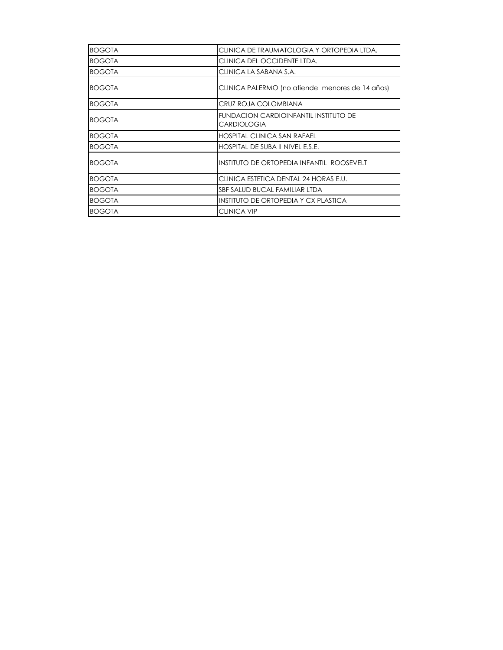| <b>BOGOTA</b> | CLINICA DE TRAUMATOLOGIA Y ORTOPEDIA LTDA.                  |
|---------------|-------------------------------------------------------------|
| <b>BOGOTA</b> | CLINICA DEL OCCIDENTE LTDA.                                 |
| <b>BOGOTA</b> | CLINICA LA SABANA S.A.                                      |
| <b>BOGOTA</b> | CLINICA PALERMO (no atiende menores de 14 años)             |
| <b>BOGOTA</b> | CRUZ ROJA COLOMBIANA                                        |
| <b>BOGOTA</b> | FUNDACION CARDIOINFANTIL INSTITUTO DE<br><b>CARDIOLOGIA</b> |
| <b>BOGOTA</b> | <b>HOSPITAL CLINICA SAN RAFAEL</b>                          |
| <b>BOGOTA</b> | HOSPITAL DE SUBA II NIVEL E.S.E.                            |
| <b>BOGOTA</b> | INSTITUTO DE ORTOPEDIA INFANTIL ROOSEVELT                   |
| <b>BOGOTA</b> | CLINICA ESTETICA DENTAL 24 HORAS E.U.                       |
| <b>BOGOTA</b> | SBF SALUD BUCAL FAMILIAR LTDA                               |
| <b>BOGOTA</b> | INSTITUTO DE ORTOPEDIA Y CX PLASTICA                        |
| <b>BOGOTA</b> | <b>CLINICA VIP</b>                                          |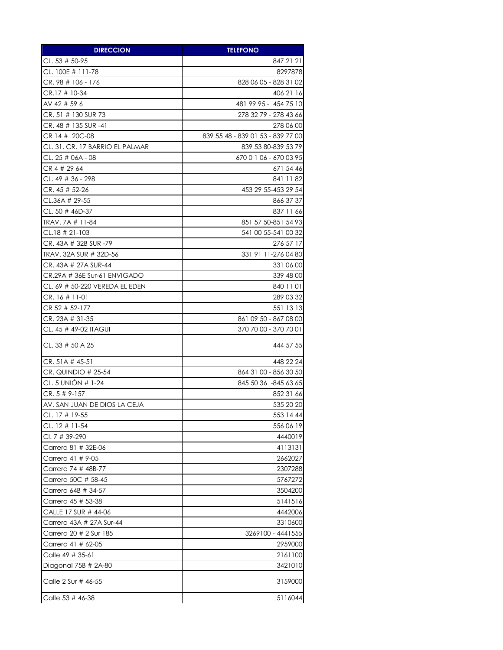| <b>DIRECCION</b>                | <b>TELEFONO</b>                   |
|---------------------------------|-----------------------------------|
| CL, 53 $#$ 50-95                | 847 21 21                         |
| CL. 100E # 111-78               | 8297878                           |
| CR.98 # 106 - 176               | 828 06 05 - 828 31 02             |
| CR.17 # 10-34                   | 406 21 16                         |
| AV 42 # 59 6                    | 481 99 95 - 454 75 10             |
| CR. 51 # 130 SUR 73             | 278 32 79 - 278 43 66             |
| CR. 48 # 135 SUR -41            | 278 06 00                         |
| CR 14 # 20C-08                  | 839 55 48 - 839 01 53 - 839 77 00 |
| CL. 31. CR. 17 BARRIO EL PALMAR | 839 53 80-839 53 79               |
| CL. 25 # 06A - 08               | 670 0 1 06 - 670 03 95            |
| CR 4 # 29 64                    | 671 54 46                         |
| CL. 49 # 36 - 298               | 841 11 82                         |
| CR. 45 # 52-26                  | 453 29 55-453 29 54               |
| CL.36A # 29-55                  | 866 37 37                         |
| $CL. 50 # 46D-37$               | 837 11 66                         |
| TRAV. 7A # 11-84                | 851 57 50-851 54 93               |
| $CL.18 \# 21-103$               | 541 00 55-541 00 32               |
| CR. 43A # 32B SUR -79           | 276 57 17                         |
| TRAV. 32A SUR # 32D-56          | 331 91 11-276 04 80               |
| CR. 43A # 27A SUR-44            | 331 06 00                         |
| CR.29A # 36E Sur-61 ENVIGADO    | 339 48 00                         |
| CL. 69 # 50-220 VEREDA EL EDEN  | 840 11 01                         |
| $CR. 16 # 11-01$                | 289 03 32                         |
| CR 52 # 52-177                  | 551 13 13                         |
| $CR. 23A \# 31-35$              | 861 09 50 - 867 08 00             |
| CL. 45 # 49-02 ITAGUI           | 370 70 00 - 370 70 01             |
| CL. 33 # 50 A 25                | 444 57 55                         |
| CR. 51A # 45-51                 | 448 22 24                         |
| $CR.$ QUINDIO # 25-54           | 864 31 00 - 856 30 50             |
| CL. 5 UNIÓN # 1-24              | 845 50 36 -845 63 65              |
| $CR. 5 # 9-157$                 | 852 31 66                         |
| AV. SAN JUAN DE DIOS LA CEJA    | 535 20 20                         |
| CL. 17 # 19-55                  | 553 14 44                         |
| CL. 12 # 11-54                  | 556 06 19                         |
| CI. 7 # 39-290                  | 4440019                           |
| Carrera 81 # 32E-06             | 4113131                           |
| Carrera 41 # 9-05               | 2662027                           |
| Carrera 74 # 48B-77             | 2307288                           |
| Carrera 50C # 58-45             | 5767272                           |
| Carrera 64B # 34-57             | 3504200                           |
| Carrera 45 # 53-38              | 5141516                           |
| CALLE 17 SUR # 44-06            | 4442006                           |
| Carrera 43A # 27A Sur-44        | 3310600                           |
| Carrera 20 # 2 Sur 185          | 3269100 - 4441555                 |
| Carrera 41 # 62-05              | 2959000                           |
| Calle 49 # 35-61                | 2161100                           |
| Diagonal 75B # 2A-80            | 3421010                           |
| Calle 2 Sur # 46-55             | 3159000                           |
| Calle 53 # 46-38                | 5116044                           |
|                                 |                                   |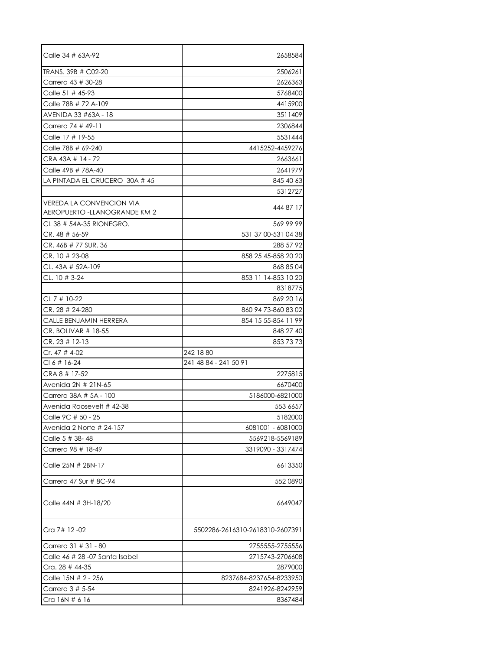| Calle 34 # 63A-92                                                | 2658584                         |
|------------------------------------------------------------------|---------------------------------|
| TRANS, 39B # C02-20                                              | 2506261                         |
| Carrera 43 # 30-28                                               | 2626363                         |
| Calle 51 $#$ 45-93                                               | 5768400                         |
| Calle 78B # 72 A-109                                             | 4415900                         |
| AVENIDA 33 #63A - 18                                             | 3511409                         |
| Carrera 74 # 49-11                                               | 2306844                         |
| Calle 17 # 19-55                                                 | 5531444                         |
| Calle 78B # 69-240                                               | 4415252-4459276                 |
| CRA 43A # 14 - 72                                                | 2663661                         |
| Calle 49B # 78A-40                                               | 2641979                         |
| LA PINTADA EL CRUCERO 30A # 45                                   | 845 40 63                       |
|                                                                  | 5312727                         |
| <b>VEREDA LA CONVENCION VIA</b><br>AEROPUERTO - LLANOGRANDE KM 2 | 444 87 17                       |
| CL 38 # 54A-35 RIONEGRO.                                         | 569 99 99                       |
| CR. 48 # 56-59                                                   | 531 37 00-531 04 38             |
| CR. 46B # 77 SUR. 36                                             | 288 57 92                       |
| CR. 10 # 23-08                                                   | 858 25 45-858 20 20             |
| CL. 43A # 52A-109                                                | 868 85 04                       |
| CL, $10 \# 3-24$                                                 | 853 11 14-853 10 20             |
|                                                                  | 8318775                         |
| CL 7 # 10-22                                                     | 869 20 16                       |
| CR. 28 # 24-280                                                  | 860 94 73-860 83 02             |
| CALLE BENJAMIN HERRERA                                           | 854 15 55-854 11 99             |
| CR. BOLIVAR $#$ 18-55                                            | 848 27 40                       |
| $CR. 23 # 12-13$                                                 | 853 73 73                       |
| Cr. 47 # 4-02                                                    | 242 18 80                       |
| $CI 6 # 16-24$                                                   | 241 48 84 - 241 50 91           |
| CRA 8 # 17-52                                                    | 2275815                         |
| Avenida 2N # 21N-65                                              | 6670400                         |
| Carrera 38A # 5A - 100                                           | 5186000-6821000                 |
| Avenida Roosevelt # 42-38                                        | 553 6657                        |
| Calle 9C # 50 - 25                                               | 5182000                         |
| Avenida 2 Norte # 24-157                                         | 6081001 - 6081000               |
| Calle 5 # 38-48                                                  | 5569218-5569189                 |
| Carrera 98 # 18-49                                               | 3319090 - 3317474               |
| Calle 25N # 2BN-17                                               | 6613350                         |
| Carrera 47 Sur # 8C-94                                           | 552 0890                        |
| Calle 44N # 3H-18/20                                             | 6649047                         |
| Cra 7# 12-02                                                     | 5502286-2616310-2618310-2607391 |
| Carrera 31 # 31 - 80                                             | 2755555-2755556                 |
| Calle 46 # 28 -07 Santa Isabel                                   | 2715743-2706608                 |
| Cra. $28 \# 44 - 35$                                             | 2879000                         |
| Calle 15N # 2 - 256                                              | 8237684-8237654-8233950         |
| Carrera 3 # 5-54                                                 | 8241926-8242959                 |
| Cra 16N # 6 16                                                   | 8367484                         |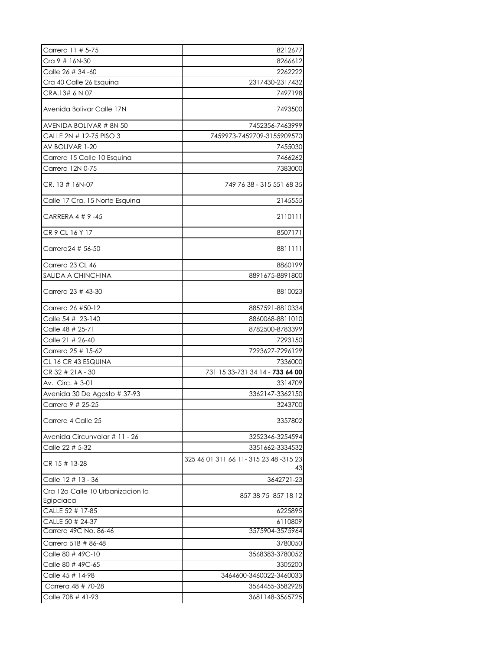| Carrera 11 # 5-75                             | 8212677                                     |
|-----------------------------------------------|---------------------------------------------|
| Cra 9 # 16N-30                                | 8266612                                     |
| Calle 26 # 34 -60                             | 2262222                                     |
| Cra 40 Calle 26 Esquina                       | 2317430-2317432                             |
| CRA.13# 6 N 07                                | 7497198                                     |
| Avenida Bolivar Calle 17N                     | 7493500                                     |
| AVENIDA BOLIVAR # 8N 50                       | 7452356-7463999                             |
| CALLE 2N # 12-75 PISO 3                       | 7459973-7452709-3155909570                  |
| AV BOLIVAR 1-20                               | 7455030                                     |
| Carrera 15 Calle 10 Esquina                   | 7466262                                     |
| Carrera 12N 0-75                              | 7383000                                     |
| CR. 13 # 16N-07                               | 749 76 38 - 315 551 68 35                   |
| Calle 17 Cra. 15 Norte Esquina                | 2145555                                     |
| CARRERA 4 # 9 -45                             | 2110111                                     |
| CR 9 CL 16 Y 17                               | 8507171                                     |
| Carrera24 # 56-50                             | 8811111                                     |
| Carrera 23 CL 46                              | 8860199                                     |
| SALIDA A CHINCHINA                            | 8891675-8891800                             |
| Carrera 23 # 43-30                            | 8810023                                     |
| Carrera 26 #50-12                             | 8857591-8810334                             |
| Calle 54 # 23-140                             | 8860068-8811010                             |
| Calle 48 # 25-71                              | 8782500-8783399                             |
| Calle 21 # 26-40                              | 7293150                                     |
| Carrera 25 # 15-62                            | 7293627-7296129                             |
| CL 16 CR 43 ESQUINA                           | 7336000                                     |
| CR 32 # 21A - 30                              | 731 15 33-731 34 14 - 733 64 00             |
| Av. Circ. # 3-01                              | 3314709                                     |
| Avenida 30 De Agosto # 37-93                  | 3362147-3362150                             |
| Carrera 9 # 25-25                             | 3243700                                     |
| Carrera 4 Calle 25                            | 3357802                                     |
| Avenida Circunvalar # 11 - 26                 | 3252346-3254594                             |
| Calle 22 # 5-32                               | 3351662-3334532                             |
| CR 15 # 13-28                                 | 325 46 01 311 66 11-315 23 48 -315 23<br>43 |
| Calle 12 # 13 - 36                            | 3642721-23                                  |
| Cra 12a Calle 10 Urbanizacion la<br>Egipciaca | 857 38 75 857 18 12                         |
| CALLE 52 # 17-85                              | 6225895                                     |
| CALLE 50 # 24-37                              | 6110809                                     |
| Carrera 49C No. 86-46                         | 3575904-3575964                             |
| Carrera 51B # 86-48                           | 3780050                                     |
| Calle 80 # 49C-10                             | 3568383-3780052                             |
| Calle 80 # 49C-65                             | 3305200                                     |
| Calle 45 # 14-98                              | 3464600-3460022-3460033                     |
| Carrera 48 # 70-28                            | 3564455-3582928                             |
| Calle 70B # 41-93                             | 3681148-3565725                             |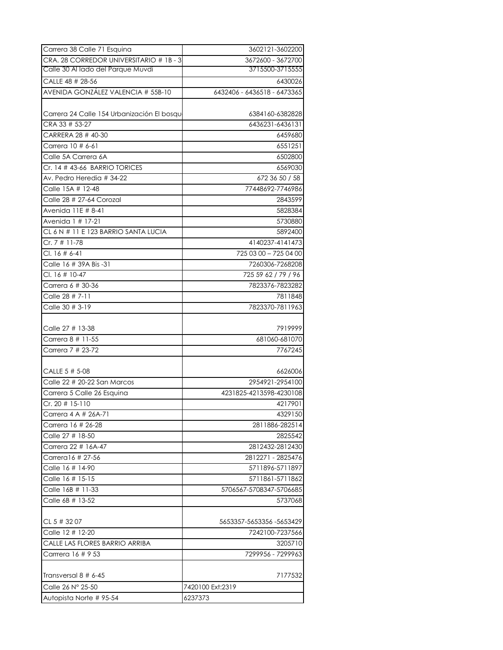| Carrera 38 Calle 71 Esquina                | 3602121-3602200             |
|--------------------------------------------|-----------------------------|
| CRA. 28 CORREDOR UNIVERSITARIO # 1B - 3    | 3672600 - 3672700           |
| Calle 30 Al lado del Parque Muvdi          | 3715500-3715555             |
| CALLE 48 # 28-56                           | 6430026                     |
| AVENIDA GONZÁLEZ VALENCIA # 55B-10         | 6432406 - 6436518 - 6473365 |
|                                            |                             |
| Carrera 24 Calle 154 Urbanización El bosqu | 6384160-6382828             |
| CRA 33 # 53-27                             | 6436231-6436131             |
| CARRERA 28 # 40-30                         | 6459680                     |
| Carrera 10 # 6-61                          | 6551251                     |
| Calle 5A Carrera 6A                        | 6502800                     |
|                                            | 6569030                     |
| Av. Pedro Heredia # 34-22                  | 672 36 50 / 58              |
| Calle 15A # 12-48                          | 77448692-7746986            |
| Calle 28 # 27-64 Corozal                   | 2843599                     |
| Avenida 11E # 8-41                         | 5828384                     |
| Avenida 1 # 17-21                          | 5730880                     |
| CL 6 N # 11 E 123 BARRIO SANTA LUCIA       | 5892400                     |
| Cr. 7 # 11-78                              | 4140237-4141473             |
| $Cl. 16 # 6-41$                            | 725 03 00 - 725 04 00       |
| Calle 16 # 39A Bis -31                     | 7260306-7268208             |
| CI. 16 # 10-47                             | 725 59 62 / 79 / 96         |
| Carrera 6 # 30-36                          | 7823376-7823282             |
| Calle 28 # 7-11                            | 7811848                     |
| Calle 30 # 3-19                            | 7823370-7811963             |
|                                            |                             |
| Calle 27 # 13-38                           | 7919999                     |
| Carrera 8 # 11-55                          | 681060-681070               |
| Carrera 7 # 23-72                          | 7767245                     |
|                                            |                             |
| CALLE 5 # 5-08                             | 6626006                     |
| Calle 22 # 20-22 San Marcos                | 2954921-2954100             |
| Carrera 5 Calle 26 Esquina                 | 4231825-4213598-4230108     |
| $Cr. 20 # 15-110$                          | 4217901                     |
| Carrera 4 A # 26A-/1                       | 4329150                     |
| Carrera 16 # 26-28                         | 2811886-282514              |
| Calle 27 # 18-50                           | 2825542                     |
| Carrera 22 # 16A-47                        | 2812432-2812430             |
| Carrera16 # 27-56                          | 2812271 - 2825476           |
| Calle 16 # 14-90                           | 5711896-5711897             |
|                                            | 5711861-5711862             |
| Calle 16B # 11-33                          | 5706567-5708347-5706685     |
| Calle 6B # 13-52                           | 5737068                     |
|                                            |                             |
| CL 5 # 32 07                               | 5653357-5653356-5653429     |
| Calle 12 # 12-20                           | 7242100-7237566             |
| CALLE LAS FLORES BARRIO ARRIBA             | 3205710                     |
| Carrrera 16 # 9 53                         | 7299956 - 7299963           |
|                                            |                             |
| Transversal 8 # 6-45                       | 7177532                     |
| Calle 26 N° 25-50                          | 7420100 Ext:2319            |
| Autopista Norte # 95-54                    | 6237373                     |
|                                            |                             |